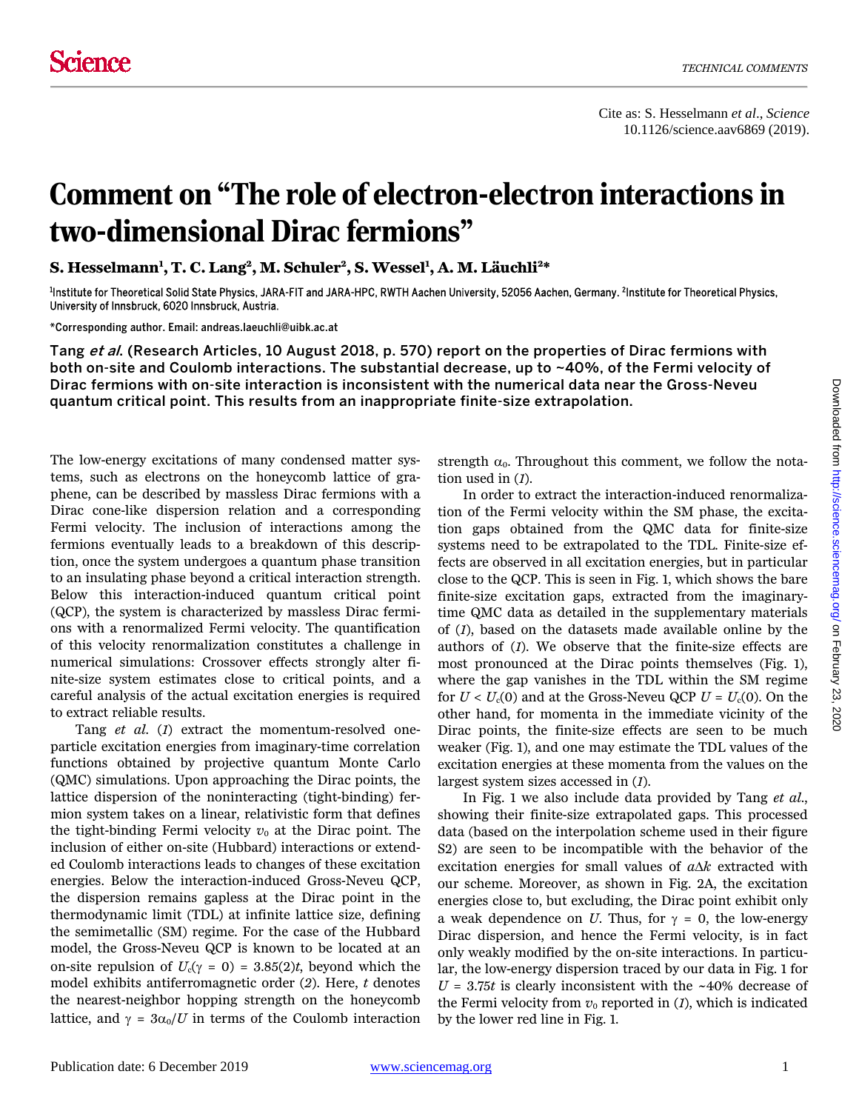## Comment on "The role of electron-electron interactions in two-dimensional Dirac fermions"

**S. Hesselmann1 , T. C. Lang2 , M. Schuler2, S. Wessel1 , A. M. Läuchli2\*** 

<sup>1</sup>Institute for Theoretical Solid State Physics, JARA-FIT and JARA-HPC, RWTH Aachen University, 52056 Aachen, Germany. <sup>2</sup>Institute for Theoretical Physics, University of Innsbruck, 6020 Innsbruck, Austria.

\*Corresponding author. Email: andreas.laeuchli@uibk.ac.at

Tang et al. (Research Articles, 10 August 2018, p. 570) report on the properties of Dirac fermions with both on-site and Coulomb interactions. The substantial decrease, up to ~40%, of the Fermi velocity of Dirac fermions with on-site interaction is inconsistent with the numerical data near the Gross-Neveu quantum critical point. This results from an inappropriate finite-size extrapolation.

The low-energy excitations of many condensed matter systems, such as electrons on the honeycomb lattice of graphene, can be described by massless Dirac fermions with a Dirac cone-like dispersion relation and a corresponding Fermi velocity. The inclusion of interactions among the fermions eventually leads to a breakdown of this description, once the system undergoes a quantum phase transition to an insulating phase beyond a critical interaction strength. Below this interaction-induced quantum critical point (QCP), the system is characterized by massless Dirac fermions with a renormalized Fermi velocity. The quantification of this velocity renormalization constitutes a challenge in numerical simulations: Crossover effects strongly alter finite-size system estimates close to critical points, and a careful analysis of the actual excitation energies is required to extract reliable results.

Tang *et al*. (*1*) extract the momentum-resolved oneparticle excitation energies from imaginary-time correlation functions obtained by projective quantum Monte Carlo (QMC) simulations. Upon approaching the Dirac points, the lattice dispersion of the noninteracting (tight-binding) fermion system takes on a linear, relativistic form that defines the tight-binding Fermi velocity  $v_0$  at the Dirac point. The inclusion of either on-site (Hubbard) interactions or extended Coulomb interactions leads to changes of these excitation energies. Below the interaction-induced Gross-Neveu QCP, the dispersion remains gapless at the Dirac point in the thermodynamic limit (TDL) at infinite lattice size, defining the semimetallic (SM) regime. For the case of the Hubbard model, the Gross-Neveu QCP is known to be located at an on-site repulsion of  $U_c(\gamma = 0) = 3.85(2)t$ , beyond which the model exhibits antiferromagnetic order (*2*). Here, *t* denotes the nearest-neighbor hopping strength on the honeycomb lattice, and  $\gamma = 3\alpha_0/U$  in terms of the Coulomb interaction

strength  $\alpha_0$ . Throughout this comment, we follow the notation used in (*1*).

In order to extract the interaction-induced renormalization of the Fermi velocity within the SM phase, the excitation gaps obtained from the QMC data for finite-size systems need to be extrapolated to the TDL. Finite-size effects are observed in all excitation energies, but in particular close to the QCP. This is seen in Fig. 1, which shows the bare finite-size excitation gaps, extracted from the imaginarytime QMC data as detailed in the supplementary materials of (*1*), based on the datasets made available online by the authors of (*1*). We observe that the finite-size effects are most pronounced at the Dirac points themselves (Fig. 1), where the gap vanishes in the TDL within the SM regime for  $U < U<sub>c</sub>(0)$  and at the Gross-Neveu QCP  $U = U<sub>c</sub>(0)$ . On the other hand, for momenta in the immediate vicinity of the Dirac points, the finite-size effects are seen to be much weaker (Fig. 1), and one may estimate the TDL values of the excitation energies at these momenta from the values on the largest system sizes accessed in (*1*).

In Fig. 1 we also include data provided by Tang *et al*., showing their finite-size extrapolated gaps. This processed data (based on the interpolation scheme used in their figure S2) are seen to be incompatible with the behavior of the excitation energies for small values of *a*∆*k* extracted with our scheme. Moreover, as shown in Fig. 2A, the excitation energies close to, but excluding, the Dirac point exhibit only a weak dependence on *U*. Thus, for  $\gamma = 0$ , the low-energy Dirac dispersion, and hence the Fermi velocity, is in fact only weakly modified by the on-site interactions. In particular, the low-energy dispersion traced by our data in Fig. 1 for  $U = 3.75t$  is clearly inconsistent with the ~40% decrease of the Fermi velocity from  $v_0$  reported in  $(I)$ , which is indicated by the lower red line in Fig. 1.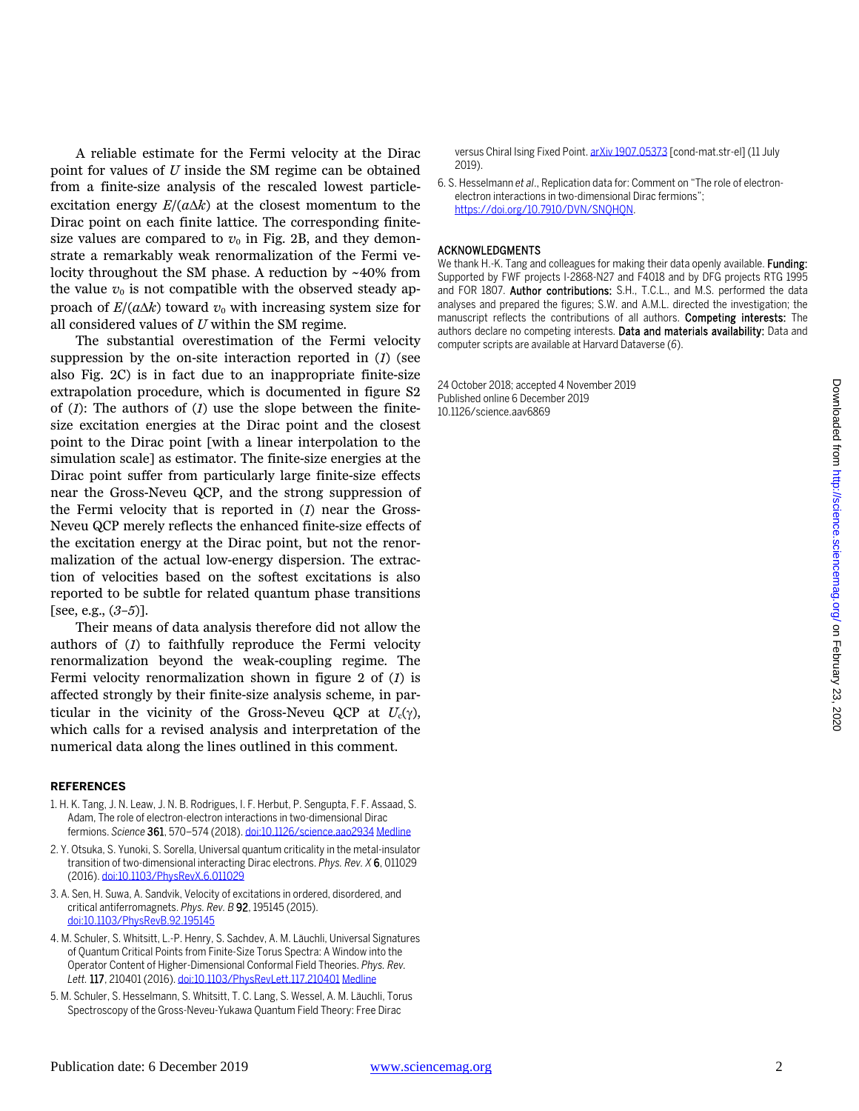A reliable estimate for the Fermi velocity at the Dirac point for values of *U* inside the SM regime can be obtained from a finite-size analysis of the rescaled lowest particleexcitation energy *E*/(*a*∆*k*) at the closest momentum to the Dirac point on each finite lattice. The corresponding finitesize values are compared to  $v_0$  in Fig. 2B, and they demonstrate a remarkably weak renormalization of the Fermi velocity throughout the SM phase. A reduction by ~40% from the value  $v_0$  is not compatible with the observed steady approach of  $E/(a\Delta k)$  toward  $v_0$  with increasing system size for all considered values of *U* within the SM regime.

The substantial overestimation of the Fermi velocity suppression by the on-site interaction reported in (*1*) (see also Fig. 2C) is in fact due to an inappropriate finite-size extrapolation procedure, which is documented in figure S2 of (*1*): The authors of (*1*) use the slope between the finitesize excitation energies at the Dirac point and the closest point to the Dirac point [with a linear interpolation to the simulation scale] as estimator. The finite-size energies at the Dirac point suffer from particularly large finite-size effects near the Gross-Neveu QCP, and the strong suppression of the Fermi velocity that is reported in (*1*) near the Gross-Neveu QCP merely reflects the enhanced finite-size effects of the excitation energy at the Dirac point, but not the renormalization of the actual low-energy dispersion. The extraction of velocities based on the softest excitations is also reported to be subtle for related quantum phase transitions [see, e.g., (*3*–*5*)].

Their means of data analysis therefore did not allow the authors of (*1*) to faithfully reproduce the Fermi velocity renormalization beyond the weak-coupling regime. The Fermi velocity renormalization shown in figure 2 of (*1*) is affected strongly by their finite-size analysis scheme, in particular in the vicinity of the Gross-Neveu QCP at  $U_c(\gamma)$ , which calls for a revised analysis and interpretation of the numerical data along the lines outlined in this comment.

## **REFERENCES**

- 1. H. K. Tang, J. N. Leaw, J. N. B. Rodrigues, I. F. Herbut, P. Sengupta, F. F. Assaad, S. Adam, The role of electron-electron interactions in two-dimensional Dirac fermions. *Science* 361, 570–574 (2018)[. doi:10.1126/science.aao2934](http://dx.doi.org/10.1126/science.aao2934) [Medline](http://www.ncbi.nlm.nih.gov/entrez/query.fcgi?cmd=Retrieve&db=PubMed&list_uids=30093594&dopt=Abstract)
- 2. Y. Otsuka, S. Yunoki, S. Sorella, Universal quantum criticality in the metal-insulator transition of two-dimensional interacting Dirac electrons. *Phys. Rev. X* 6, 011029 (2016)[. doi:10.1103/PhysRevX.6.011029](http://dx.doi.org/10.1103/PhysRevX.6.011029)
- 3. A. Sen, H. Suwa, A. Sandvik, Velocity of excitations in ordered, disordered, and critical antiferromagnets. *Phys. Rev. B* 92, 195145 (2015). [doi:10.1103/PhysRevB.92.195145](http://dx.doi.org/10.1103/PhysRevB.92.195145)
- 4. M. Schuler, S. Whitsitt, L.-P. Henry, S. Sachdev, A. M. Läuchli, Universal Signatures of Quantum Critical Points from Finite-Size Torus Spectra: A Window into the Operator Content of Higher-Dimensional Conformal Field Theories. *Phys. Rev. Lett.* 117, 210401 (2016)[. doi:10.1103/PhysRevLett.117.210401](http://dx.doi.org/10.1103/PhysRevLett.117.210401) [Medline](http://www.ncbi.nlm.nih.gov/entrez/query.fcgi?cmd=Retrieve&db=PubMed&list_uids=27911517&dopt=Abstract)
- 5. M. Schuler, S. Hesselmann, S. Whitsitt, T. C. Lang, S. Wessel, A. M. Läuchli, Torus Spectroscopy of the Gross-Neveu-Yukawa Quantum Field Theory: Free Dirac

versus Chiral Ising Fixed Point[. arXiv 1907.05373 \[](https://arxiv.org/abs/1907.05373)cond-mat.str-el] (11 July 2019).

6. S. Hesselmann *et al*., Replication data for: Comment on "The role of electronelectron interactions in two-dimensional Dirac fermions"; [https://doi.org/10.7910/DVN/SNQHQN.](https://doi.org/10.7910/DVN/SNQHQN) 

## ACKNOWLEDGMENTS

We thank H.-K. Tang and colleagues for making their data openly available. Funding: Supported by FWF projects I-2868-N27 and F4018 and by DFG projects RTG 1995 and FOR 1807. Author contributions: S.H., T.C.L., and M.S. performed the data analyses and prepared the figures; S.W. and A.M.L. directed the investigation; the manuscript reflects the contributions of all authors. Competing interests: The authors declare no competing interests. Data and materials availability: Data and computer scripts are available at Harvard Dataverse (*6*).

24 October 2018; accepted 4 November 2019 Published online 6 December 2019 10.1126/science.aav6869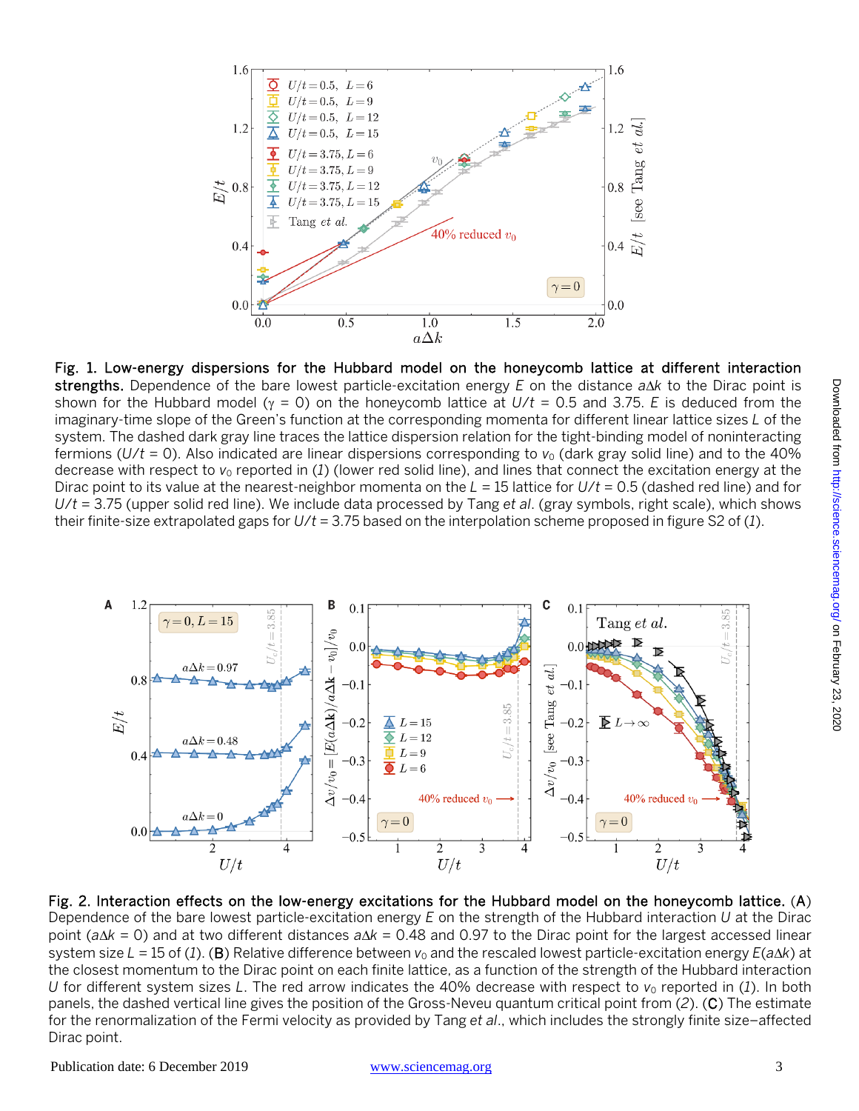





Fig. 2. Interaction effects on the low-energy excitations for the Hubbard model on the honeycomb lattice. (A) Dependence of the bare lowest particle-excitation energy *E* on the strength of the Hubbard interaction *U* at the Dirac point (*a*∆*k* = 0) and at two different distances *a*∆*k* = 0.48 and 0.97 to the Dirac point for the largest accessed linear system size *L* = 15 of (1). (B) Relative difference between *v*<sub>0</sub> and the rescaled lowest particle-excitation energy *E*(a∆*k*) at the closest momentum to the Dirac point on each finite lattice, as a function of the strength of the Hubbard interaction *U* for different system sizes *L*. The red arrow indicates the 40% decrease with respect to  $v_0$  reported in (1). In both panels, the dashed vertical line gives the position of the Gross-Neveu quantum critical point from (*2*). (C) The estimate for the renormalization of the Fermi velocity as provided by Tang *et al*., which includes the strongly finite size–affected Dirac point.